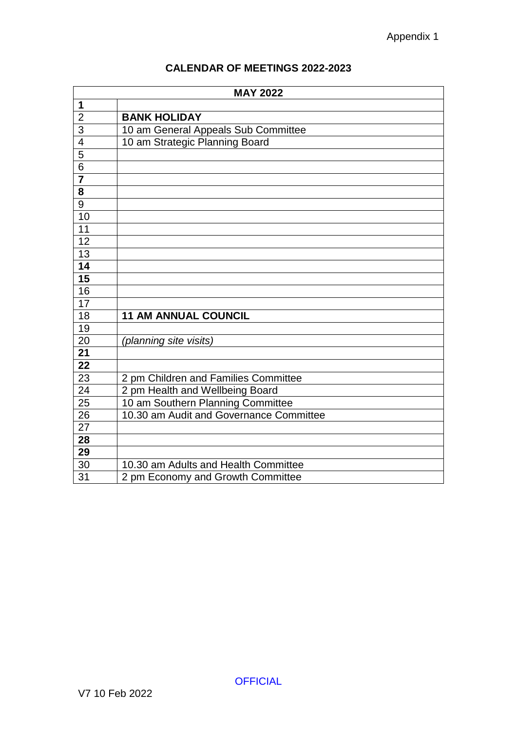## **CALENDAR OF MEETINGS 2022-2023**

| <b>MAY 2022</b>         |                                         |
|-------------------------|-----------------------------------------|
| 1                       |                                         |
| $\overline{2}$          | <b>BANK HOLIDAY</b>                     |
| $\overline{3}$          | 10 am General Appeals Sub Committee     |
| $\overline{4}$          | 10 am Strategic Planning Board          |
| $\overline{5}$          |                                         |
| $\overline{6}$          |                                         |
|                         |                                         |
| $\overline{\mathbf{8}}$ |                                         |
| $\overline{9}$          |                                         |
| 10                      |                                         |
| 11                      |                                         |
| 12                      |                                         |
| $\overline{13}$         |                                         |
| 14                      |                                         |
| $\overline{15}$         |                                         |
| 16                      |                                         |
| $\overline{17}$         |                                         |
| 18                      | <b>11 AM ANNUAL COUNCIL</b>             |
| 19                      |                                         |
| 20                      | (planning site visits)                  |
| 21                      |                                         |
| 22                      |                                         |
| 23                      | 2 pm Children and Families Committee    |
| 24                      | 2 pm Health and Wellbeing Board         |
| 25                      | 10 am Southern Planning Committee       |
| $\overline{26}$         | 10.30 am Audit and Governance Committee |
| 27                      |                                         |
| 28                      |                                         |
| 29                      |                                         |
| 30                      | 10.30 am Adults and Health Committee    |
| 31                      | 2 pm Economy and Growth Committee       |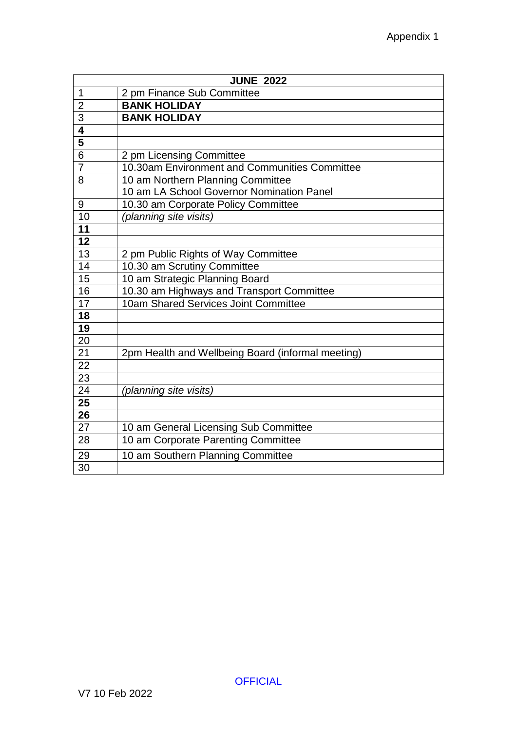| <b>JUNE 2022</b>        |                                                   |
|-------------------------|---------------------------------------------------|
| $\mathbf 1$             | 2 pm Finance Sub Committee                        |
| $\overline{2}$          | <b>BANK HOLIDAY</b>                               |
| 3                       | <b>BANK HOLIDAY</b>                               |
| 4                       |                                                   |
| $\overline{\mathbf{5}}$ |                                                   |
| 6                       | 2 pm Licensing Committee                          |
| $\overline{7}$          | 10.30am Environment and Communities Committee     |
| 8                       | 10 am Northern Planning Committee                 |
|                         | 10 am LA School Governor Nomination Panel         |
| 9                       | 10.30 am Corporate Policy Committee               |
| 10                      | (planning site visits)                            |
| 11                      |                                                   |
| 12                      |                                                   |
| 13                      | 2 pm Public Rights of Way Committee               |
| 14                      | 10.30 am Scrutiny Committee                       |
| 15                      | 10 am Strategic Planning Board                    |
| 16                      | 10.30 am Highways and Transport Committee         |
| 17                      | 10am Shared Services Joint Committee              |
| 18                      |                                                   |
| 19                      |                                                   |
| 20                      |                                                   |
| 21                      | 2pm Health and Wellbeing Board (informal meeting) |
| 22                      |                                                   |
| 23                      |                                                   |
| 24                      | (planning site visits)                            |
| 25                      |                                                   |
| 26                      |                                                   |
| 27                      | 10 am General Licensing Sub Committee             |
| 28                      | 10 am Corporate Parenting Committee               |
| 29                      | 10 am Southern Planning Committee                 |
| 30                      |                                                   |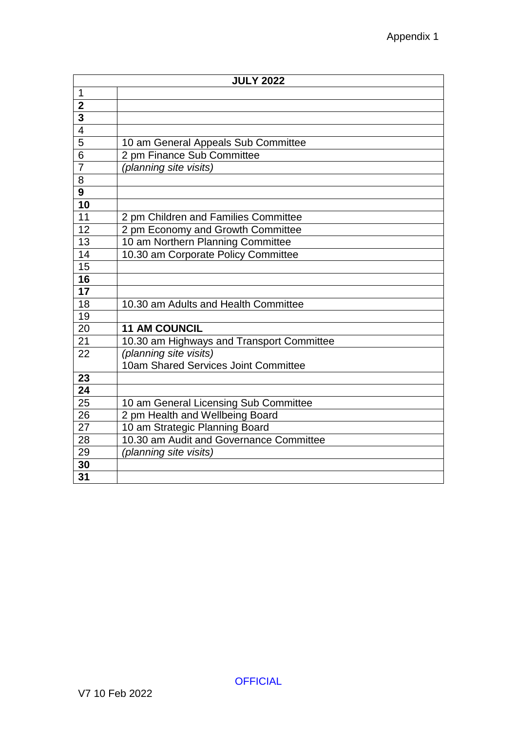|                          | <b>JULY 2022</b>                          |
|--------------------------|-------------------------------------------|
| 1                        |                                           |
| $\overline{2}$           |                                           |
| $\overline{3}$           |                                           |
| $\overline{\mathcal{L}}$ |                                           |
| $\overline{5}$           | 10 am General Appeals Sub Committee       |
| 6                        | 2 pm Finance Sub Committee                |
| $\overline{7}$           | (planning site visits)                    |
| 8                        |                                           |
| $\overline{9}$           |                                           |
| $\overline{10}$          |                                           |
| 11                       | 2 pm Children and Families Committee      |
| 12                       | 2 pm Economy and Growth Committee         |
| 13                       | 10 am Northern Planning Committee         |
| 14                       | 10.30 am Corporate Policy Committee       |
| 15                       |                                           |
| 16                       |                                           |
| $\overline{17}$          |                                           |
| 18                       | 10.30 am Adults and Health Committee      |
| 19                       |                                           |
| 20                       | <b>11 AM COUNCIL</b>                      |
| 21                       | 10.30 am Highways and Transport Committee |
| 22                       | (planning site visits)                    |
|                          | 10am Shared Services Joint Committee      |
| 23                       |                                           |
| 24                       |                                           |
| 25                       | 10 am General Licensing Sub Committee     |
| 26                       | 2 pm Health and Wellbeing Board           |
| 27                       | 10 am Strategic Planning Board            |
| 28                       | 10.30 am Audit and Governance Committee   |
| 29                       | (planning site visits)                    |
| 30                       |                                           |
| 31                       |                                           |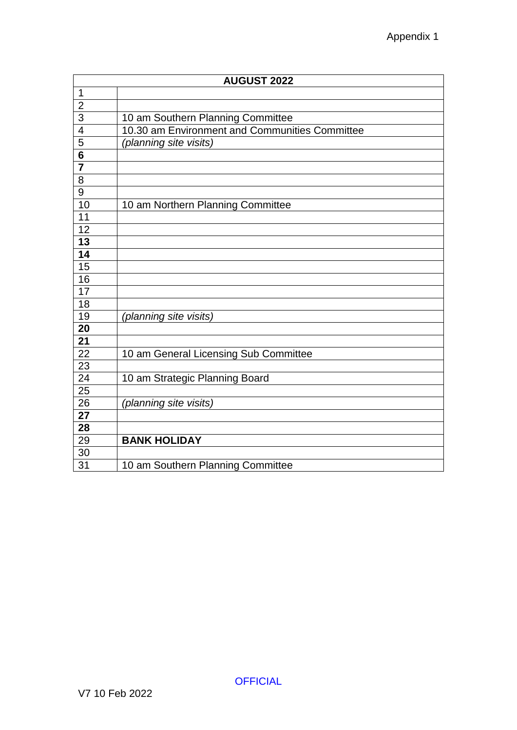| <b>AUGUST 2022</b>      |                                                |
|-------------------------|------------------------------------------------|
| $\mathbf 1$             |                                                |
| $\overline{2}$          |                                                |
| $\overline{3}$          | 10 am Southern Planning Committee              |
| $\overline{4}$          | 10.30 am Environment and Communities Committee |
| $\overline{5}$          | (planning site visits)                         |
| $\overline{\mathbf{6}}$ |                                                |
| $\overline{\mathbf{7}}$ |                                                |
| $\overline{8}$          |                                                |
| $\overline{9}$          |                                                |
| 10                      | 10 am Northern Planning Committee              |
| 11                      |                                                |
| $\overline{12}$         |                                                |
| $\overline{13}$         |                                                |
| 14                      |                                                |
| $\overline{15}$         |                                                |
| 16                      |                                                |
| 17                      |                                                |
| 18                      |                                                |
| 19                      | (planning site visits)                         |
| 20                      |                                                |
| 21                      |                                                |
| $\overline{22}$         | 10 am General Licensing Sub Committee          |
| 23                      |                                                |
| 24                      | 10 am Strategic Planning Board                 |
| $\overline{25}$         |                                                |
| 26                      | (planning site visits)                         |
| 27                      |                                                |
| 28                      |                                                |
| 29                      | <b>BANK HOLIDAY</b>                            |
| 30                      |                                                |
| 31                      | 10 am Southern Planning Committee              |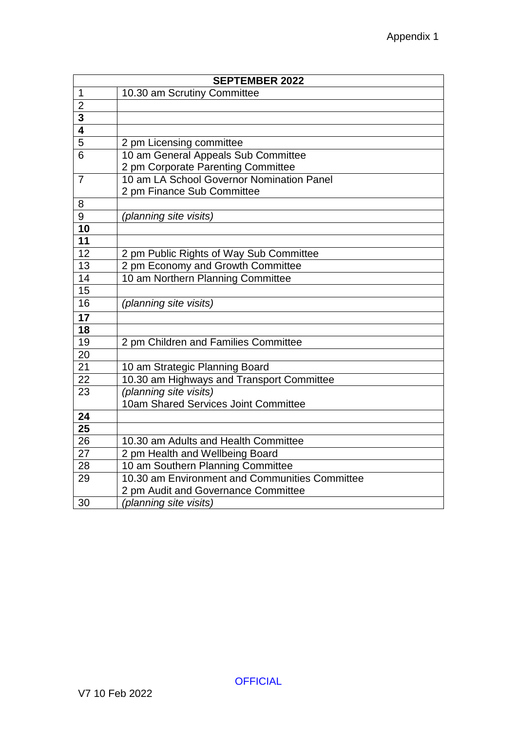| <b>SEPTEMBER 2022</b>   |                                                |
|-------------------------|------------------------------------------------|
| 1                       | 10.30 am Scrutiny Committee                    |
| $\overline{2}$          |                                                |
| $\overline{\mathbf{3}}$ |                                                |
| $\overline{4}$          |                                                |
| $\overline{5}$          | 2 pm Licensing committee                       |
| $\overline{6}$          | 10 am General Appeals Sub Committee            |
|                         | 2 pm Corporate Parenting Committee             |
| $\overline{7}$          | 10 am LA School Governor Nomination Panel      |
|                         | 2 pm Finance Sub Committee                     |
| 8                       |                                                |
| 9                       | (planning site visits)                         |
| 10                      |                                                |
| 11                      |                                                |
| 12                      | 2 pm Public Rights of Way Sub Committee        |
| 13                      | 2 pm Economy and Growth Committee              |
| 14                      | 10 am Northern Planning Committee              |
| 15                      |                                                |
| 16                      | (planning site visits)                         |
| $\overline{17}$         |                                                |
| 18                      |                                                |
| 19                      | 2 pm Children and Families Committee           |
| 20                      |                                                |
| 21                      | 10 am Strategic Planning Board                 |
| 22                      | 10.30 am Highways and Transport Committee      |
| 23                      | (planning site visits)                         |
|                         | 10am Shared Services Joint Committee           |
| 24                      |                                                |
| 25                      |                                                |
| 26                      | 10.30 am Adults and Health Committee           |
| 27                      | 2 pm Health and Wellbeing Board                |
| 28                      | 10 am Southern Planning Committee              |
| 29                      | 10.30 am Environment and Communities Committee |
|                         | 2 pm Audit and Governance Committee            |
| 30                      | (planning site visits)                         |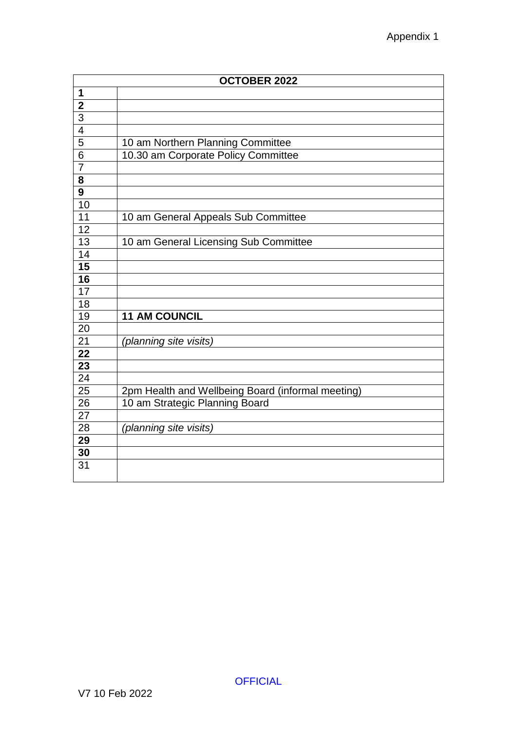| <b>OCTOBER 2022</b>      |                                                   |
|--------------------------|---------------------------------------------------|
| 1                        |                                                   |
| $\overline{\mathbf{2}}$  |                                                   |
| $\overline{3}$           |                                                   |
| $\overline{\mathcal{A}}$ |                                                   |
| $\overline{5}$           | 10 am Northern Planning Committee                 |
| 6                        | 10.30 am Corporate Policy Committee               |
| $\overline{7}$           |                                                   |
| $\overline{\mathbf{8}}$  |                                                   |
| $\overline{9}$           |                                                   |
| 10                       |                                                   |
| 11                       | 10 am General Appeals Sub Committee               |
| 12                       |                                                   |
| $\overline{13}$          | 10 am General Licensing Sub Committee             |
| 14                       |                                                   |
| $\overline{15}$          |                                                   |
| 16                       |                                                   |
| $\overline{17}$          |                                                   |
| 18                       |                                                   |
| 19                       | <b>11 AM COUNCIL</b>                              |
| 20                       |                                                   |
| 21                       | (planning site visits)                            |
| 22                       |                                                   |
| $\overline{23}$          |                                                   |
| 24                       |                                                   |
| 25                       | 2pm Health and Wellbeing Board (informal meeting) |
| 26                       | 10 am Strategic Planning Board                    |
| 27                       |                                                   |
| 28                       | (planning site visits)                            |
| 29                       |                                                   |
| 30                       |                                                   |
| 31                       |                                                   |
|                          |                                                   |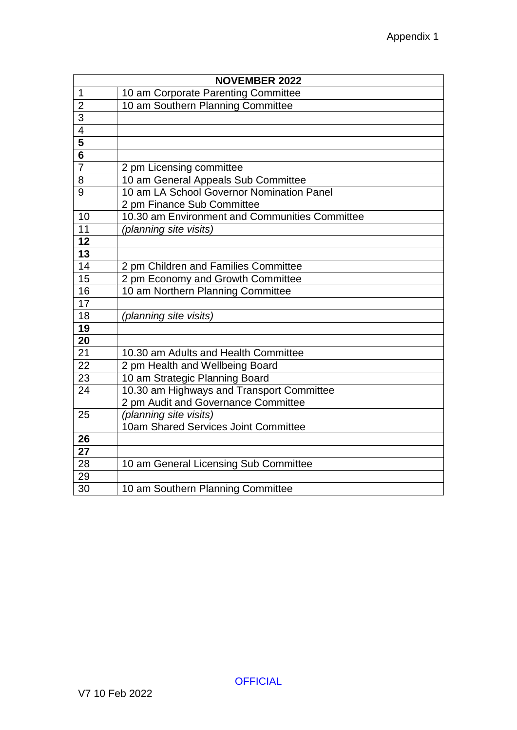|                         | <b>NOVEMBER 2022</b>                           |  |
|-------------------------|------------------------------------------------|--|
| 1                       | 10 am Corporate Parenting Committee            |  |
| $\overline{2}$          | 10 am Southern Planning Committee              |  |
| $\overline{3}$          |                                                |  |
| $\overline{4}$          |                                                |  |
| 5                       |                                                |  |
| $\overline{\mathbf{6}}$ |                                                |  |
| $\overline{7}$          | 2 pm Licensing committee                       |  |
| 8                       | 10 am General Appeals Sub Committee            |  |
| 9                       | 10 am LA School Governor Nomination Panel      |  |
|                         | 2 pm Finance Sub Committee                     |  |
| 10                      | 10.30 am Environment and Communities Committee |  |
| 11                      | (planning site visits)                         |  |
| $\overline{12}$         |                                                |  |
| 13                      |                                                |  |
| 14                      | 2 pm Children and Families Committee           |  |
| 15                      | 2 pm Economy and Growth Committee              |  |
| 16                      | 10 am Northern Planning Committee              |  |
| $\overline{17}$         |                                                |  |
| 18                      | (planning site visits)                         |  |
| 19                      |                                                |  |
| 20                      |                                                |  |
| 21                      | 10.30 am Adults and Health Committee           |  |
| $\overline{22}$         | 2 pm Health and Wellbeing Board                |  |
| 23                      | 10 am Strategic Planning Board                 |  |
| 24                      | 10.30 am Highways and Transport Committee      |  |
|                         | 2 pm Audit and Governance Committee            |  |
| 25                      | (planning site visits)                         |  |
|                         | 10am Shared Services Joint Committee           |  |
| 26                      |                                                |  |
| 27                      |                                                |  |
| 28                      | 10 am General Licensing Sub Committee          |  |
| 29                      |                                                |  |
| 30                      | 10 am Southern Planning Committee              |  |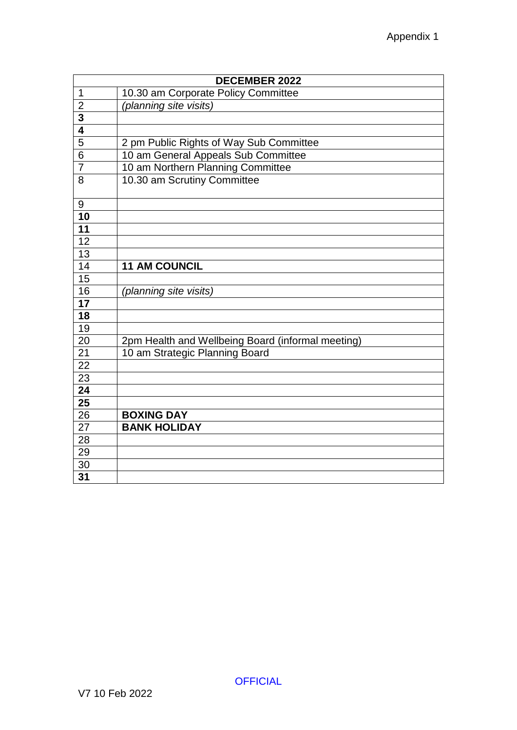|                         | <b>DECEMBER 2022</b>                              |  |
|-------------------------|---------------------------------------------------|--|
| $\mathbf 1$             | 10.30 am Corporate Policy Committee               |  |
| $\overline{2}$          | (planning site visits)                            |  |
| $\overline{\mathbf{3}}$ |                                                   |  |
| $\overline{\mathbf{4}}$ |                                                   |  |
| $\overline{5}$          | 2 pm Public Rights of Way Sub Committee           |  |
| 6                       | 10 am General Appeals Sub Committee               |  |
| 7                       | 10 am Northern Planning Committee                 |  |
| 8                       | 10.30 am Scrutiny Committee                       |  |
|                         |                                                   |  |
| 9                       |                                                   |  |
| 10                      |                                                   |  |
| 11                      |                                                   |  |
| 12                      |                                                   |  |
| $\overline{13}$         |                                                   |  |
| 14                      | <b>11 AM COUNCIL</b>                              |  |
| $\overline{15}$         |                                                   |  |
| 16                      | (planning site visits)                            |  |
| $\overline{17}$         |                                                   |  |
| 18                      |                                                   |  |
| 19                      |                                                   |  |
| 20                      | 2pm Health and Wellbeing Board (informal meeting) |  |
| 21                      | 10 am Strategic Planning Board                    |  |
| 22                      |                                                   |  |
| 23                      |                                                   |  |
| 24                      |                                                   |  |
| $\overline{25}$         |                                                   |  |
| 26                      | <b>BOXING DAY</b>                                 |  |
| 27                      | <b>BANK HOLIDAY</b>                               |  |
| 28                      |                                                   |  |
| 29                      |                                                   |  |
| 30                      |                                                   |  |
| 31                      |                                                   |  |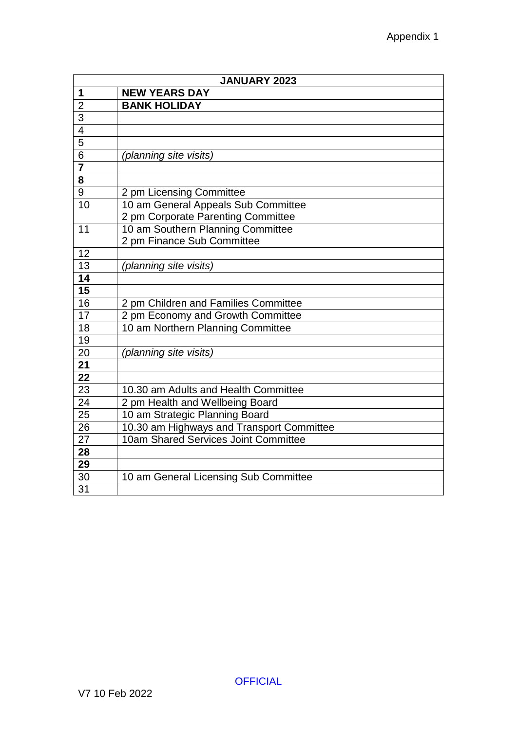| <b>JANUARY 2023</b> |                                           |
|---------------------|-------------------------------------------|
| 1                   | <b>NEW YEARS DAY</b>                      |
| $\overline{2}$      | <b>BANK HOLIDAY</b>                       |
| $\overline{3}$      |                                           |
| $\overline{4}$      |                                           |
| $\overline{5}$      |                                           |
| 6                   | (planning site visits)                    |
| $\overline{7}$      |                                           |
| 8                   |                                           |
| 9                   | 2 pm Licensing Committee                  |
| 10                  | 10 am General Appeals Sub Committee       |
|                     | 2 pm Corporate Parenting Committee        |
| 11                  | 10 am Southern Planning Committee         |
|                     | 2 pm Finance Sub Committee                |
| 12                  |                                           |
| 13                  | (planning site visits)                    |
| $\overline{14}$     |                                           |
| $\overline{15}$     |                                           |
| 16                  | 2 pm Children and Families Committee      |
| $\overline{17}$     | 2 pm Economy and Growth Committee         |
| 18                  | 10 am Northern Planning Committee         |
| 19                  |                                           |
| 20                  | (planning site visits)                    |
| $\overline{21}$     |                                           |
| 22                  |                                           |
| 23                  | 10.30 am Adults and Health Committee      |
| 24                  | 2 pm Health and Wellbeing Board           |
| 25                  | 10 am Strategic Planning Board            |
| 26                  | 10.30 am Highways and Transport Committee |
| 27                  | 10am Shared Services Joint Committee      |
| 28                  |                                           |
| 29                  |                                           |
| 30                  | 10 am General Licensing Sub Committee     |
| $\overline{31}$     |                                           |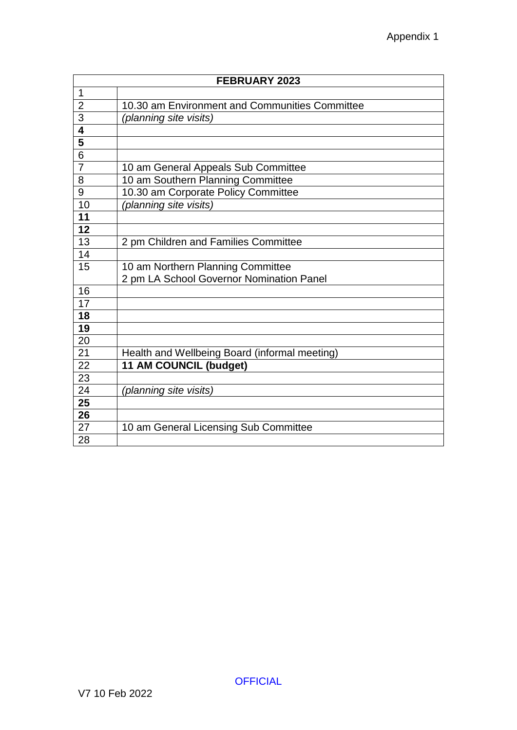|                                      | <b>FEBRUARY 2023</b>                           |
|--------------------------------------|------------------------------------------------|
| 1                                    |                                                |
| $\overline{2}$                       | 10.30 am Environment and Communities Committee |
| $\frac{3}{4}$                        | (planning site visits)                         |
|                                      |                                                |
| $\overline{\overline{\overline{5}}}$ |                                                |
| $\overline{6}$                       |                                                |
| $\overline{7}$                       | 10 am General Appeals Sub Committee            |
| 8                                    | 10 am Southern Planning Committee              |
| 9                                    | 10.30 am Corporate Policy Committee            |
| 10                                   | (planning site visits)                         |
| 11                                   |                                                |
| 12                                   |                                                |
| 13                                   | 2 pm Children and Families Committee           |
| 14                                   |                                                |
| 15                                   | 10 am Northern Planning Committee              |
|                                      | 2 pm LA School Governor Nomination Panel       |
| 16                                   |                                                |
| $\overline{17}$                      |                                                |
| 18                                   |                                                |
| 19                                   |                                                |
| 20                                   |                                                |
| 21                                   | Health and Wellbeing Board (informal meeting)  |
| 22                                   | 11 AM COUNCIL (budget)                         |
| 23                                   |                                                |
| 24                                   | (planning site visits)                         |
| 25                                   |                                                |
| 26                                   |                                                |
| 27                                   | 10 am General Licensing Sub Committee          |
| 28                                   |                                                |

**OFFICIAL**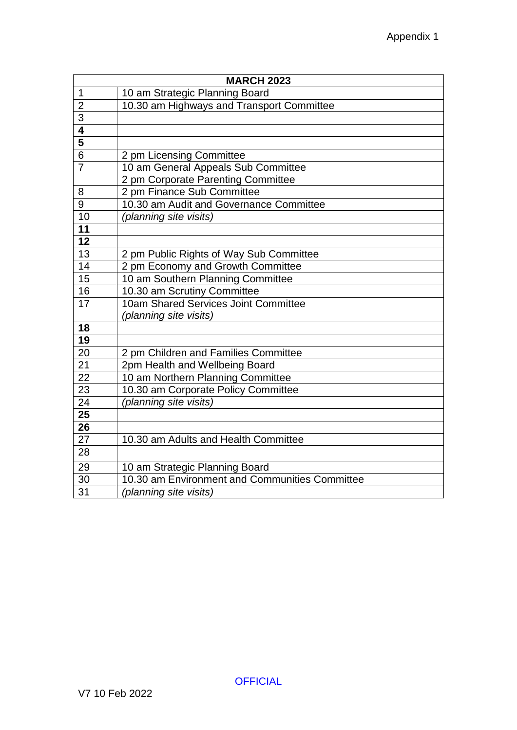|                         | <b>MARCH 2023</b>                              |
|-------------------------|------------------------------------------------|
| $\overline{1}$          | 10 am Strategic Planning Board                 |
| $\overline{2}$          | 10.30 am Highways and Transport Committee      |
| $\overline{3}$          |                                                |
| $\overline{\mathbf{4}}$ |                                                |
| $\overline{\mathbf{5}}$ |                                                |
| $\overline{6}$          | 2 pm Licensing Committee                       |
| $\overline{7}$          | 10 am General Appeals Sub Committee            |
|                         | 2 pm Corporate Parenting Committee             |
| 8                       | 2 pm Finance Sub Committee                     |
| $\overline{9}$          | 10.30 am Audit and Governance Committee        |
| 10                      | (planning site visits)                         |
| $\overline{11}$         |                                                |
| $\overline{12}$         |                                                |
| 13                      | 2 pm Public Rights of Way Sub Committee        |
| 14                      | 2 pm Economy and Growth Committee              |
| $\overline{15}$         | 10 am Southern Planning Committee              |
| $\overline{16}$         | 10.30 am Scrutiny Committee                    |
| $1\overline{7}$         | 10am Shared Services Joint Committee           |
|                         | (planning site visits)                         |
| 18                      |                                                |
| $\overline{19}$         |                                                |
| 20                      | 2 pm Children and Families Committee           |
| $\overline{21}$         | 2pm Health and Wellbeing Board                 |
| 22                      | 10 am Northern Planning Committee              |
| 23                      | 10.30 am Corporate Policy Committee            |
| 24                      | (planning site visits)                         |
| 25                      |                                                |
| 26                      |                                                |
| 27                      | 10.30 am Adults and Health Committee           |
| 28                      |                                                |
| 29                      | 10 am Strategic Planning Board                 |
| 30                      | 10.30 am Environment and Communities Committee |
| 31                      | (planning site visits)                         |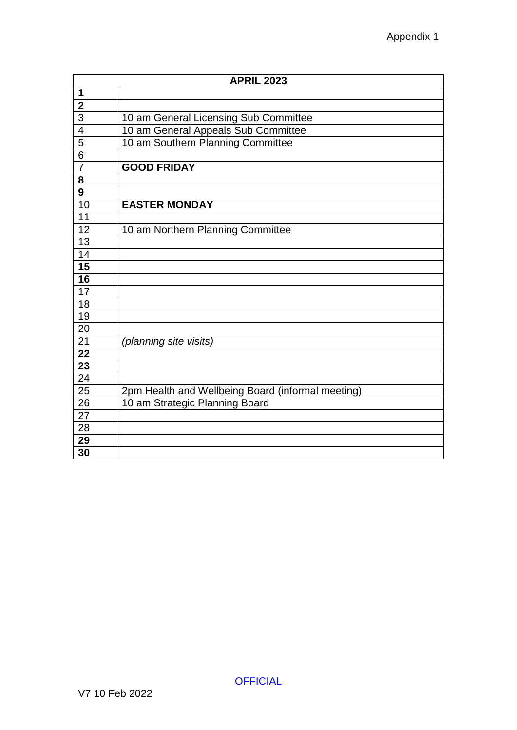|                 | <b>APRIL 2023</b>                                 |  |
|-----------------|---------------------------------------------------|--|
| 1               |                                                   |  |
| $\overline{2}$  |                                                   |  |
| $\overline{3}$  | 10 am General Licensing Sub Committee             |  |
| $\overline{4}$  | 10 am General Appeals Sub Committee               |  |
| $\overline{5}$  | 10 am Southern Planning Committee                 |  |
| $\overline{6}$  |                                                   |  |
| $\overline{7}$  | <b>GOOD FRIDAY</b>                                |  |
| 8               |                                                   |  |
| 9               |                                                   |  |
| 10              | <b>EASTER MONDAY</b>                              |  |
| 11              |                                                   |  |
| 12              | 10 am Northern Planning Committee                 |  |
| $\overline{13}$ |                                                   |  |
| 14              |                                                   |  |
| $\overline{15}$ |                                                   |  |
| $\overline{16}$ |                                                   |  |
| $\overline{17}$ |                                                   |  |
| 18              |                                                   |  |
| 19              |                                                   |  |
| 20              |                                                   |  |
| 21              | (planning site visits)                            |  |
| 22              |                                                   |  |
| $\overline{23}$ |                                                   |  |
| 24              |                                                   |  |
| 25              | 2pm Health and Wellbeing Board (informal meeting) |  |
| 26              | 10 am Strategic Planning Board                    |  |
| 27              |                                                   |  |
| 28              |                                                   |  |
| 29              |                                                   |  |
| 30              |                                                   |  |